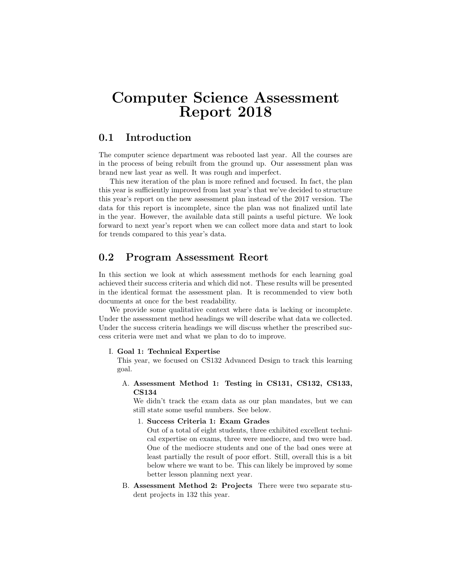# Computer Science Assessment Report 2018

# 0.1 Introduction

The computer science department was rebooted last year. All the courses are in the process of being rebuilt from the ground up. Our assessment plan was brand new last year as well. It was rough and imperfect.

This new iteration of the plan is more refined and focused. In fact, the plan this year is sufficiently improved from last year's that we've decided to structure this year's report on the new assessment plan instead of the 2017 version. The data for this report is incomplete, since the plan was not finalized until late in the year. However, the available data still paints a useful picture. We look forward to next year's report when we can collect more data and start to look for trends compared to this year's data.

# 0.2 Program Assessment Reort

In this section we look at which assessment methods for each learning goal achieved their success criteria and which did not. These results will be presented in the identical format the assessment plan. It is recommended to view both documents at once for the best readability.

We provide some qualitative context where data is lacking or incomplete. Under the assessment method headings we will describe what data we collected. Under the success criteria headings we will discuss whether the prescribed success criteria were met and what we plan to do to improve.

## I. Goal 1: Technical Expertise

This year, we focused on CS132 Advanced Design to track this learning goal.

A. Assessment Method 1: Testing in CS131, CS132, CS133, CS134

We didn't track the exam data as our plan mandates, but we can still state some useful numbers. See below.

1. Success Criteria 1: Exam Grades

Out of a total of eight students, three exhibited excellent technical expertise on exams, three were mediocre, and two were bad. One of the mediocre students and one of the bad ones were at least partially the result of poor effort. Still, overall this is a bit below where we want to be. This can likely be improved by some better lesson planning next year.

B. Assessment Method 2: Projects There were two separate student projects in 132 this year.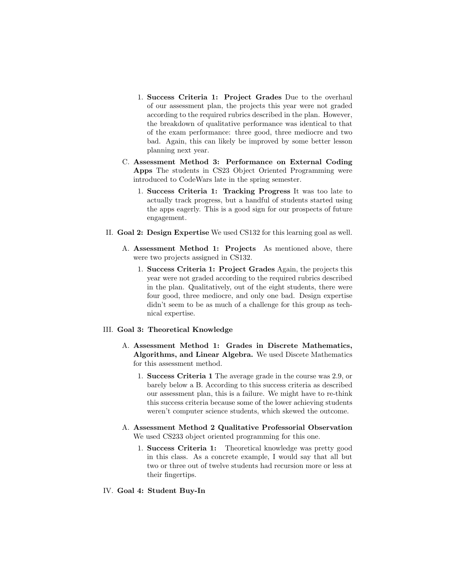- 1. Success Criteria 1: Project Grades Due to the overhaul of our assessment plan, the projects this year were not graded according to the required rubrics described in the plan. However, the breakdown of qualitative performance was identical to that of the exam performance: three good, three mediocre and two bad. Again, this can likely be improved by some better lesson planning next year.
- C. Assessment Method 3: Performance on External Coding Apps The students in CS23 Object Oriented Programming were introduced to CodeWars late in the spring semester.
	- 1. Success Criteria 1: Tracking Progress It was too late to actually track progress, but a handful of students started using the apps eagerly. This is a good sign for our prospects of future engagement.
- II. Goal 2: Design Expertise We used CS132 for this learning goal as well.
	- A. Assessment Method 1: Projects As mentioned above, there were two projects assigned in CS132.
		- 1. Success Criteria 1: Project Grades Again, the projects this year were not graded according to the required rubrics described in the plan. Qualitatively, out of the eight students, there were four good, three mediocre, and only one bad. Design expertise didn't seem to be as much of a challenge for this group as technical expertise.

#### III. Goal 3: Theoretical Knowledge

- A. Assessment Method 1: Grades in Discrete Mathematics, Algorithms, and Linear Algebra. We used Discete Mathematics for this assessment method.
	- 1. Success Criteria 1 The average grade in the course was 2.9, or barely below a B. According to this success criteria as described our assessment plan, this is a failure. We might have to re-think this success criteria because some of the lower achieving students weren't computer science students, which skewed the outcome.
- A. Assessment Method 2 Qualitative Professorial Observation We used CS233 object oriented programming for this one.
	- 1. Success Criteria 1: Theoretical knowledge was pretty good in this class. As a concrete example, I would say that all but two or three out of twelve students had recursion more or less at their fingertips.

#### IV. Goal 4: Student Buy-In